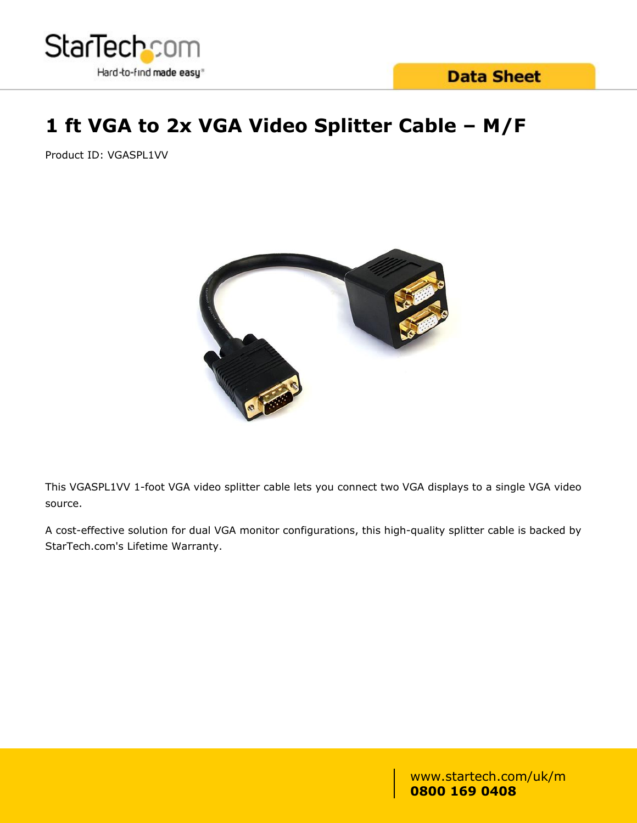

# **1 ft VGA to 2x VGA Video Splitter Cable – M/F**

Product ID: VGASPL1VV



This VGASPL1VV 1-foot VGA video splitter cable lets you connect two VGA displays to a single VGA video source.

A cost-effective solution for dual VGA monitor configurations, this high-quality splitter cable is backed by StarTech.com's Lifetime Warranty.

> www.startech.com/uk/m **0800 169 0408**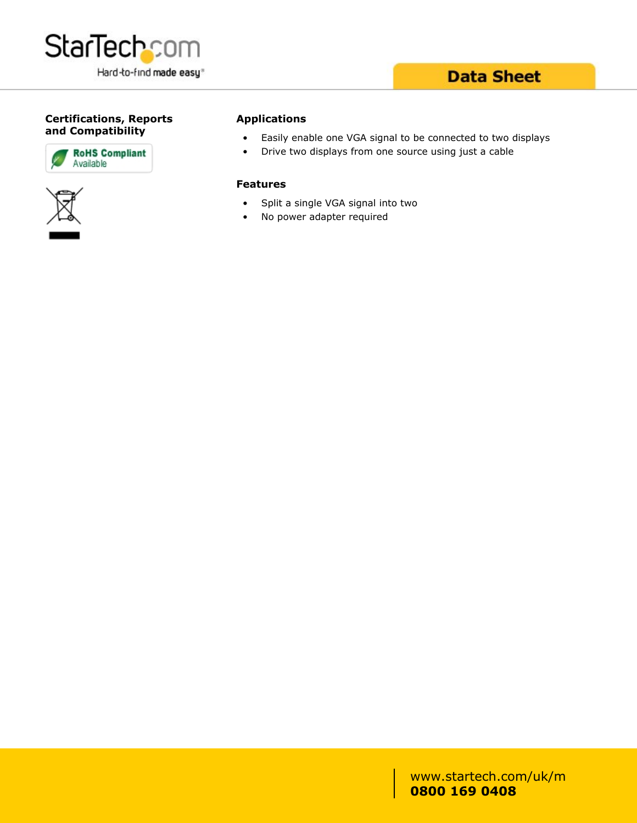

### **Data Sheet**

#### **Certifications, Reports and Compatibility**





#### **Applications**

- Easily enable one VGA signal to be connected to two displays
- Drive two displays from one source using just a cable

#### **Features**

- Split a single VGA signal into two
- No power adapter required

www.startech.com/uk/m **0800 169 0408**